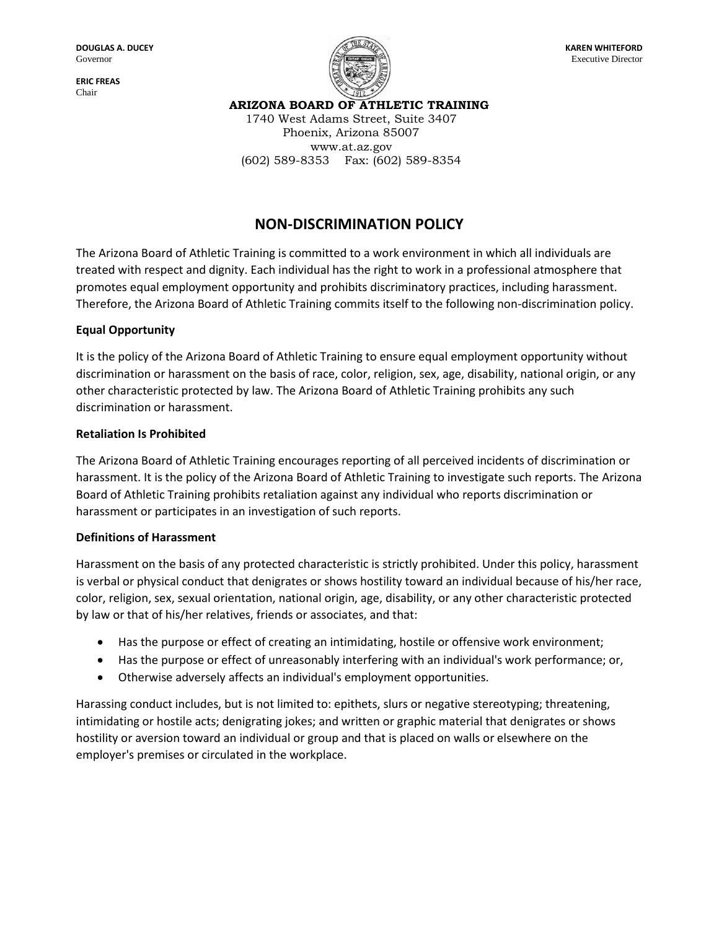**ERIC FREAS** Chair



**ARIZONA BOARD OF ATHLETIC TRAINING**

1740 West Adams Street, Suite 3407 Phoenix, Arizona 85007 www.at.az.gov (602) 589-8353 Fax: (602) 589-8354

# **NON-DISCRIMINATION POLICY**

The Arizona Board of Athletic Training is committed to a work environment in which all individuals are treated with respect and dignity. Each individual has the right to work in a professional atmosphere that promotes equal employment opportunity and prohibits discriminatory practices, including harassment. Therefore, the Arizona Board of Athletic Training commits itself to the following non-discrimination policy.

# **Equal Opportunity**

It is the policy of the Arizona Board of Athletic Training to ensure equal employment opportunity without discrimination or harassment on the basis of race, color, religion, sex, age, disability, national origin, or any other characteristic protected by law. The Arizona Board of Athletic Training prohibits any such discrimination or harassment.

#### **Retaliation Is Prohibited**

The Arizona Board of Athletic Training encourages reporting of all perceived incidents of discrimination or harassment. It is the policy of the Arizona Board of Athletic Training to investigate such reports. The Arizona Board of Athletic Training prohibits retaliation against any individual who reports discrimination or harassment or participates in an investigation of such reports.

#### **Definitions of Harassment**

Harassment on the basis of any protected characteristic is strictly prohibited. Under this policy, harassment is verbal or physical conduct that denigrates or shows hostility toward an individual because of his/her race, color, religion, sex, sexual orientation, national origin, age, disability, or any other characteristic protected by law or that of his/her relatives, friends or associates, and that:

- Has the purpose or effect of creating an intimidating, hostile or offensive work environment;
- Has the purpose or effect of unreasonably interfering with an individual's work performance; or,
- Otherwise adversely affects an individual's employment opportunities.

Harassing conduct includes, but is not limited to: epithets, slurs or negative stereotyping; threatening, intimidating or hostile acts; denigrating jokes; and written or graphic material that denigrates or shows hostility or aversion toward an individual or group and that is placed on walls or elsewhere on the employer's premises or circulated in the workplace.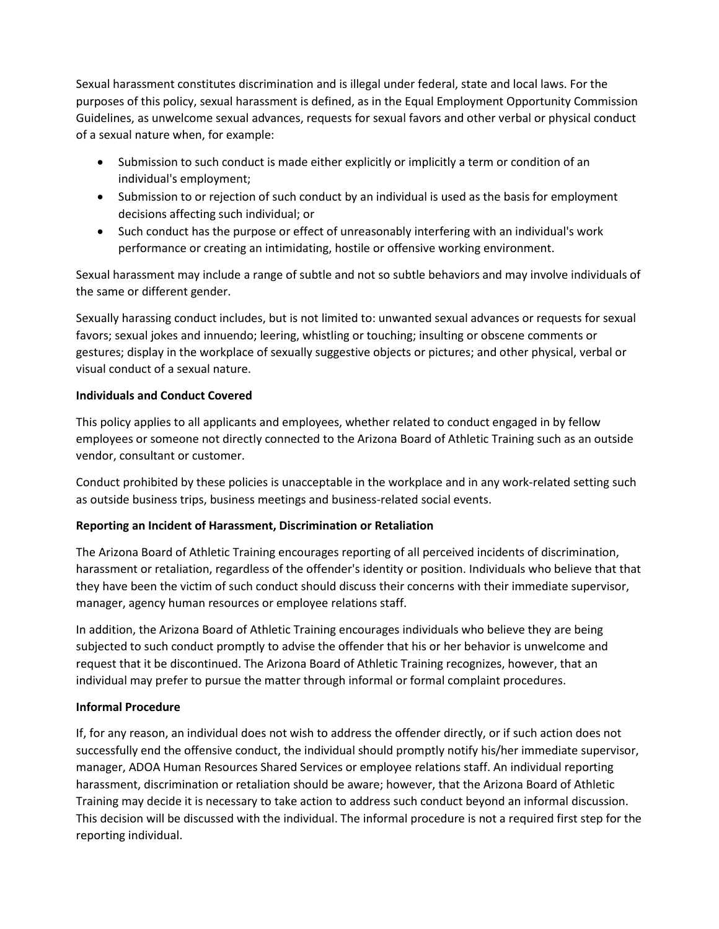Sexual harassment constitutes discrimination and is illegal under federal, state and local laws. For the purposes of this policy, sexual harassment is defined, as in the Equal Employment Opportunity Commission Guidelines, as unwelcome sexual advances, requests for sexual favors and other verbal or physical conduct of a sexual nature when, for example:

- Submission to such conduct is made either explicitly or implicitly a term or condition of an individual's employment;
- Submission to or rejection of such conduct by an individual is used as the basis for employment decisions affecting such individual; or
- Such conduct has the purpose or effect of unreasonably interfering with an individual's work performance or creating an intimidating, hostile or offensive working environment.

Sexual harassment may include a range of subtle and not so subtle behaviors and may involve individuals of the same or different gender.

Sexually harassing conduct includes, but is not limited to: unwanted sexual advances or requests for sexual favors; sexual jokes and innuendo; leering, whistling or touching; insulting or obscene comments or gestures; display in the workplace of sexually suggestive objects or pictures; and other physical, verbal or visual conduct of a sexual nature.

## **Individuals and Conduct Covered**

This policy applies to all applicants and employees, whether related to conduct engaged in by fellow employees or someone not directly connected to the Arizona Board of Athletic Training such as an outside vendor, consultant or customer.

Conduct prohibited by these policies is unacceptable in the workplace and in any work-related setting such as outside business trips, business meetings and business-related social events.

# **Reporting an Incident of Harassment, Discrimination or Retaliation**

The Arizona Board of Athletic Training encourages reporting of all perceived incidents of discrimination, harassment or retaliation, regardless of the offender's identity or position. Individuals who believe that that they have been the victim of such conduct should discuss their concerns with their immediate supervisor, manager, agency human resources or employee relations staff.

In addition, the Arizona Board of Athletic Training encourages individuals who believe they are being subjected to such conduct promptly to advise the offender that his or her behavior is unwelcome and request that it be discontinued. The Arizona Board of Athletic Training recognizes, however, that an individual may prefer to pursue the matter through informal or formal complaint procedures.

# **Informal Procedure**

If, for any reason, an individual does not wish to address the offender directly, or if such action does not successfully end the offensive conduct, the individual should promptly notify his/her immediate supervisor, manager, ADOA Human Resources Shared Services or employee relations staff. An individual reporting harassment, discrimination or retaliation should be aware; however, that the Arizona Board of Athletic Training may decide it is necessary to take action to address such conduct beyond an informal discussion. This decision will be discussed with the individual. The informal procedure is not a required first step for the reporting individual.